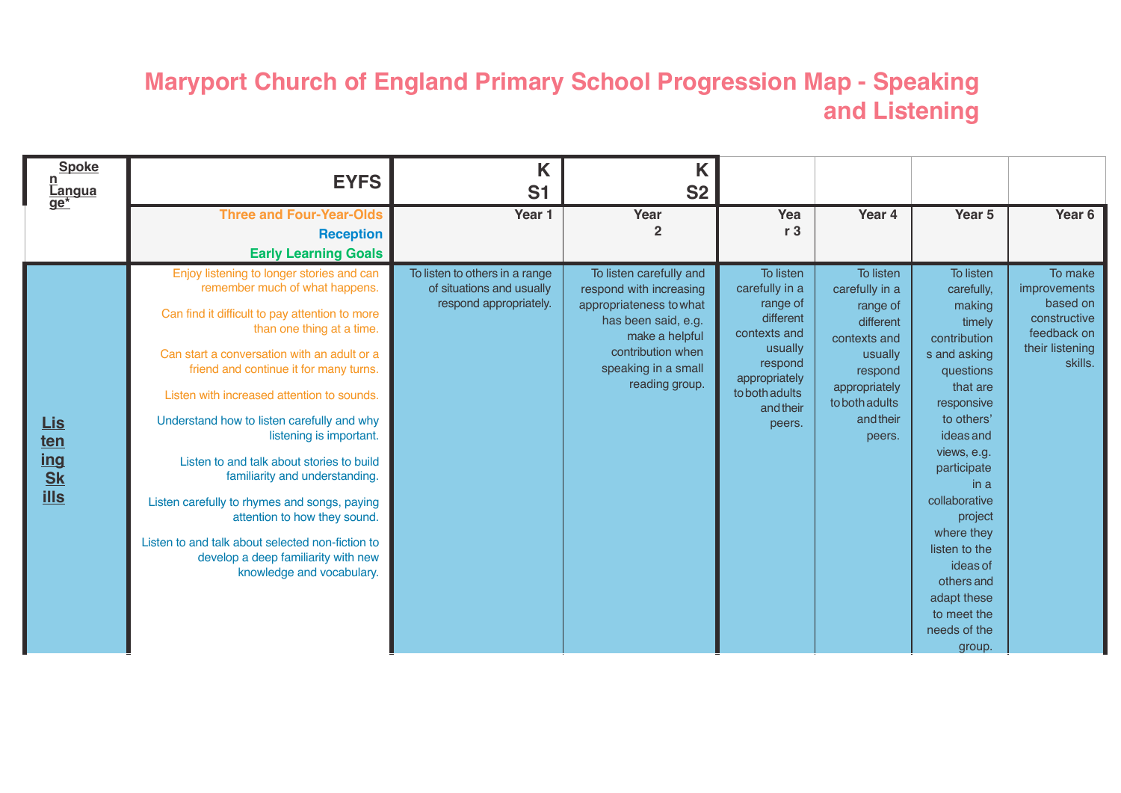## **Maryport Church of England Primary School Progression Map - Speaking and Listening**

| <b>Spoke</b><br>n<br><u>Cangua</u><br>ge*            | <b>EYFS</b>                                                                                                                                                                                                                                                                                                                                                                                                                                                                                                                                                                                                                                                       | K<br><b>S1</b>                                                                        | K<br><b>S2</b>                                                                                                                                                                       |                                                                                                                                                      |                                                                                                                                                      |                                                                                                                                                                                                                                                                                                                                  |                                                                                                  |
|------------------------------------------------------|-------------------------------------------------------------------------------------------------------------------------------------------------------------------------------------------------------------------------------------------------------------------------------------------------------------------------------------------------------------------------------------------------------------------------------------------------------------------------------------------------------------------------------------------------------------------------------------------------------------------------------------------------------------------|---------------------------------------------------------------------------------------|--------------------------------------------------------------------------------------------------------------------------------------------------------------------------------------|------------------------------------------------------------------------------------------------------------------------------------------------------|------------------------------------------------------------------------------------------------------------------------------------------------------|----------------------------------------------------------------------------------------------------------------------------------------------------------------------------------------------------------------------------------------------------------------------------------------------------------------------------------|--------------------------------------------------------------------------------------------------|
|                                                      | <b>Three and Four-Year-Olds</b><br><b>Reception</b><br><b>Early Learning Goals</b>                                                                                                                                                                                                                                                                                                                                                                                                                                                                                                                                                                                | Year 1                                                                                | Year<br>$\mathbf{2}$                                                                                                                                                                 | Yea<br>r <sub>3</sub>                                                                                                                                | Year 4                                                                                                                                               | Year 5                                                                                                                                                                                                                                                                                                                           | Year 6                                                                                           |
| <b>Lis</b><br>ten<br>ing<br><b>Sk</b><br><u>ills</u> | Enjoy listening to longer stories and can<br>remember much of what happens.<br>Can find it difficult to pay attention to more<br>than one thing at a time.<br>Can start a conversation with an adult or a<br>friend and continue it for many turns.<br>Listen with increased attention to sounds.<br>Understand how to listen carefully and why<br>listening is important.<br>Listen to and talk about stories to build<br>familiarity and understanding.<br>Listen carefully to rhymes and songs, paying<br>attention to how they sound.<br>Listen to and talk about selected non-fiction to<br>develop a deep familiarity with new<br>knowledge and vocabulary. | To listen to others in a range<br>of situations and usually<br>respond appropriately. | To listen carefully and<br>respond with increasing<br>appropriateness to what<br>has been said, e.g.<br>make a helpful<br>contribution when<br>speaking in a small<br>reading group. | To listen<br>carefully in a<br>range of<br>different<br>contexts and<br>usually<br>respond<br>appropriately<br>to both adults<br>and their<br>peers. | To listen<br>carefully in a<br>range of<br>different<br>contexts and<br>usually<br>respond<br>appropriately<br>to both adults<br>and their<br>peers. | To listen<br>carefully,<br>making<br>timely<br>contribution<br>s and asking<br>questions<br>that are<br>responsive<br>to others'<br>ideas and<br>views, e.g.<br>participate<br>in a<br>collaborative<br>project<br>where they<br>listen to the<br>ideas of<br>others and<br>adapt these<br>to meet the<br>needs of the<br>group. | To make<br>improvements<br>based on<br>constructive<br>feedback on<br>their listening<br>skills. |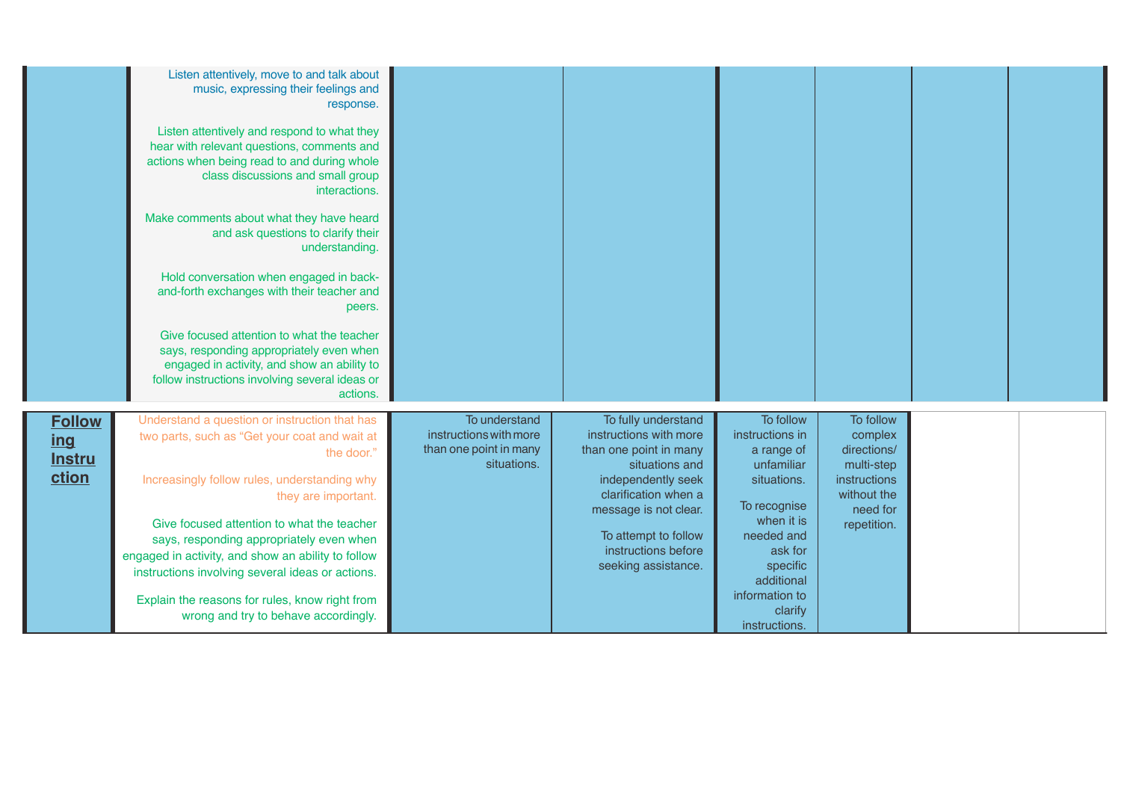|                                                | Listen attentively, move to and talk about<br>music, expressing their feelings and<br>response.<br>Listen attentively and respond to what they<br>hear with relevant questions, comments and<br>actions when being read to and during whole<br>class discussions and small group<br>interactions.<br>Make comments about what they have heard<br>and ask questions to clarify their<br>understanding.<br>Hold conversation when engaged in back-<br>and-forth exchanges with their teacher and<br>peers.<br>Give focused attention to what the teacher<br>says, responding appropriately even when<br>engaged in activity, and show an ability to<br>follow instructions involving several ideas or<br>actions. |                                                                                  |                                                                                                                                                                                                                                        |                                                                                                                                                                                                        |                                                                                                             |  |
|------------------------------------------------|-----------------------------------------------------------------------------------------------------------------------------------------------------------------------------------------------------------------------------------------------------------------------------------------------------------------------------------------------------------------------------------------------------------------------------------------------------------------------------------------------------------------------------------------------------------------------------------------------------------------------------------------------------------------------------------------------------------------|----------------------------------------------------------------------------------|----------------------------------------------------------------------------------------------------------------------------------------------------------------------------------------------------------------------------------------|--------------------------------------------------------------------------------------------------------------------------------------------------------------------------------------------------------|-------------------------------------------------------------------------------------------------------------|--|
| <b>Follow</b><br>ing<br><b>Instru</b><br>ction | Understand a question or instruction that has<br>two parts, such as "Get your coat and wait at<br>the door."<br>Increasingly follow rules, understanding why<br>they are important.<br>Give focused attention to what the teacher<br>says, responding appropriately even when<br>engaged in activity, and show an ability to follow<br>instructions involving several ideas or actions.<br>Explain the reasons for rules, know right from<br>wrong and try to behave accordingly.                                                                                                                                                                                                                               | To understand<br>instructions with more<br>than one point in many<br>situations. | To fully understand<br>instructions with more<br>than one point in many<br>situations and<br>independently seek<br>clarification when a<br>message is not clear.<br>To attempt to follow<br>instructions before<br>seeking assistance. | To follow<br>instructions in<br>a range of<br>unfamiliar<br>situations.<br>To recognise<br>when it is<br>needed and<br>ask for<br>specific<br>additional<br>information to<br>clarify<br>instructions. | To follow<br>complex<br>directions/<br>multi-step<br>instructions<br>without the<br>need for<br>repetition. |  |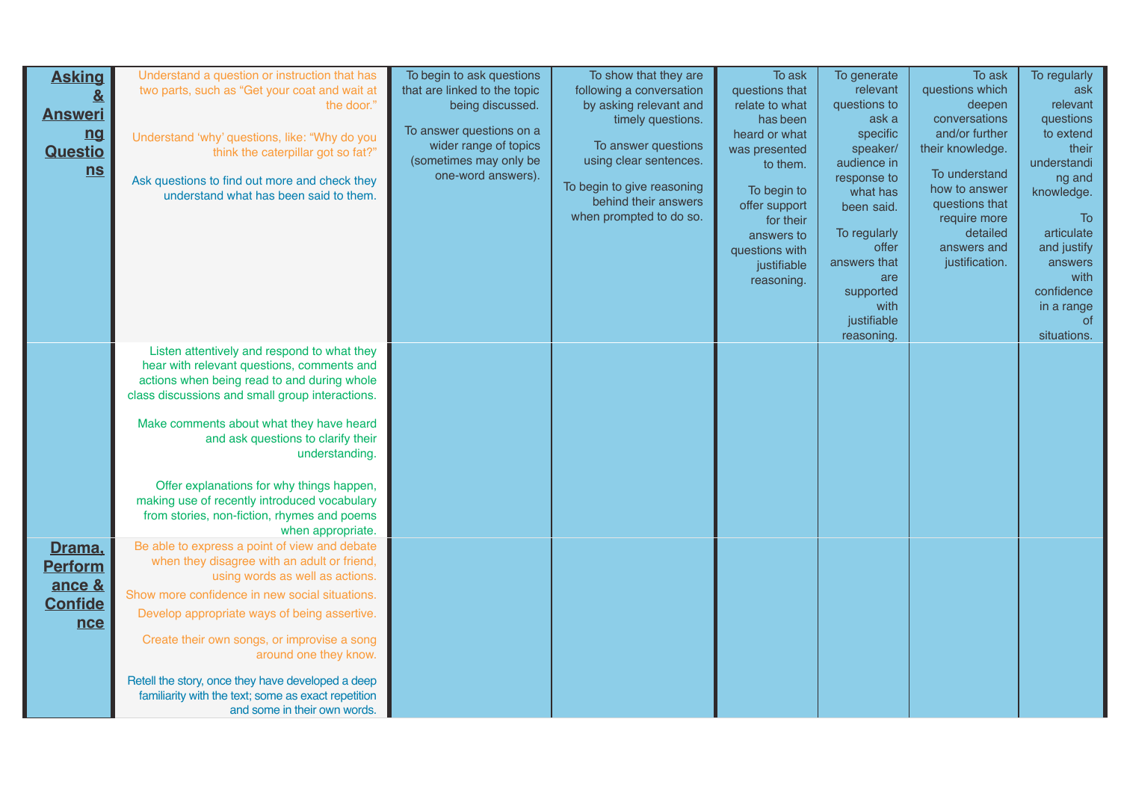| <b>Asking</b>  | Understand a question or instruction that has       | To begin to ask questions    | To show that they are      | To ask         | To generate           | To ask                        | To regularly    |
|----------------|-----------------------------------------------------|------------------------------|----------------------------|----------------|-----------------------|-------------------------------|-----------------|
|                | two parts, such as "Get your coat and wait at       | that are linked to the topic | following a conversation   | questions that | relevant              | questions which               | ask             |
| <u>&amp;</u>   | the door."                                          | being discussed.             | by asking relevant and     | relate to what | questions to          | deepen                        | relevant        |
| <b>Answeri</b> |                                                     |                              | timely questions.          | has been       | ask a                 | conversations                 | questions       |
| nq             | Understand 'why' questions, like: "Why do you       | To answer questions on a     |                            | heard or what  | specific              | and/or further                | to extend       |
| <b>Questio</b> | think the caterpillar got so fat?"                  | wider range of topics        | To answer questions        | was presented  | speaker/              | their knowledge.              | their           |
|                |                                                     | (sometimes may only be       | using clear sentences.     | to them.       | audience in           |                               | understandi     |
| n s            | Ask questions to find out more and check they       | one-word answers).           |                            |                | response to           | To understand                 | ng and          |
|                | understand what has been said to them.              |                              | To begin to give reasoning | To begin to    | what has              | how to answer                 | knowledge.      |
|                |                                                     |                              | behind their answers       | offer support  | been said.            | questions that                |                 |
|                |                                                     |                              | when prompted to do so.    | for their      |                       | require more                  | To              |
|                |                                                     |                              |                            | answers to     | To regularly          | detailed                      | articulate      |
|                |                                                     |                              |                            | questions with | offer<br>answers that | answers and<br>justification. | and justify     |
|                |                                                     |                              |                            | justifiable    | are                   |                               | answers<br>with |
|                |                                                     |                              |                            | reasoning.     | supported             |                               | confidence      |
|                |                                                     |                              |                            |                | with                  |                               | in a range      |
|                |                                                     |                              |                            |                | justifiable           |                               | of              |
|                |                                                     |                              |                            |                | reasoning             |                               | situations.     |
|                | Listen attentively and respond to what they         |                              |                            |                |                       |                               |                 |
|                | hear with relevant questions, comments and          |                              |                            |                |                       |                               |                 |
|                | actions when being read to and during whole         |                              |                            |                |                       |                               |                 |
|                | class discussions and small group interactions.     |                              |                            |                |                       |                               |                 |
|                |                                                     |                              |                            |                |                       |                               |                 |
|                | Make comments about what they have heard            |                              |                            |                |                       |                               |                 |
|                | and ask questions to clarify their                  |                              |                            |                |                       |                               |                 |
|                | understanding.                                      |                              |                            |                |                       |                               |                 |
|                |                                                     |                              |                            |                |                       |                               |                 |
|                | Offer explanations for why things happen,           |                              |                            |                |                       |                               |                 |
|                | making use of recently introduced vocabulary        |                              |                            |                |                       |                               |                 |
|                | from stories, non-fiction, rhymes and poems         |                              |                            |                |                       |                               |                 |
|                | when appropriate.                                   |                              |                            |                |                       |                               |                 |
| Drama,         | Be able to express a point of view and debate       |                              |                            |                |                       |                               |                 |
| <b>Perform</b> | when they disagree with an adult or friend,         |                              |                            |                |                       |                               |                 |
| ance &         | using words as well as actions.                     |                              |                            |                |                       |                               |                 |
| <b>Confide</b> | Show more confidence in new social situations.      |                              |                            |                |                       |                               |                 |
|                | Develop appropriate ways of being assertive.        |                              |                            |                |                       |                               |                 |
| <u>nce</u>     |                                                     |                              |                            |                |                       |                               |                 |
|                | Create their own songs, or improvise a song         |                              |                            |                |                       |                               |                 |
|                | around one they know.                               |                              |                            |                |                       |                               |                 |
|                | Retell the story, once they have developed a deep   |                              |                            |                |                       |                               |                 |
|                | familiarity with the text; some as exact repetition |                              |                            |                |                       |                               |                 |
|                | and some in their own words.                        |                              |                            |                |                       |                               |                 |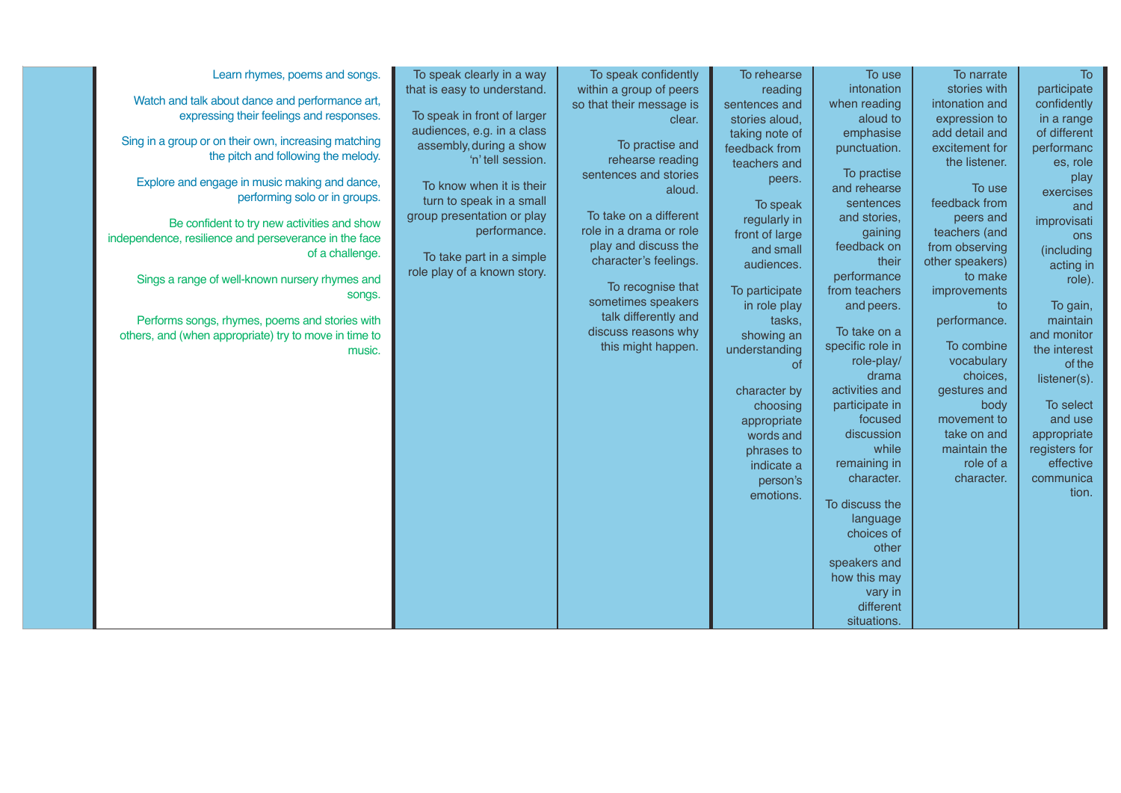|  | Learn rhymes, poems and songs.<br>Watch and talk about dance and performance art,<br>expressing their feelings and responses.<br>Sing in a group or on their own, increasing matching<br>the pitch and following the melody.<br>Explore and engage in music making and dance,<br>performing solo or in groups.<br>Be confident to try new activities and show<br>independence, resilience and perseverance in the face<br>of a challenge.<br>Sings a range of well-known nursery rhymes and<br>songs.<br>Performs songs, rhymes, poems and stories with<br>others, and (when appropriate) try to move in time to<br>music. | To speak clearly in a way<br>that is easy to understand.<br>To speak in front of larger<br>audiences, e.g. in a class<br>assembly, during a show<br>'n' tell session.<br>To know when it is their<br>turn to speak in a small<br>group presentation or play<br>performance.<br>To take part in a simple<br>role play of a known story. | To speak confidently<br>within a group of peers<br>so that their message is<br>clear.<br>To practise and<br>rehearse reading<br>sentences and stories<br>aloud.<br>To take on a different<br>role in a drama or role<br>play and discuss the<br>character's feelings.<br>To recognise that<br>sometimes speakers<br>talk differently and<br>discuss reasons why<br>this might happen. | To rehearse<br>reading<br>sentences and<br>stories aloud,<br>taking note of<br>feedback from<br>teachers and<br>peers.<br>To speak<br>regularly in<br>front of large<br>and small<br>audiences.<br>To participate<br>in role play<br>tasks,<br>showing an<br>understanding<br><b>of</b><br>character by<br>choosing<br>appropriate<br>words and<br>phrases to<br>indicate a<br>person's<br>emotions. | To use<br>intonation<br>when reading<br>aloud to<br>emphasise<br>punctuation.<br>To practise<br>and rehearse<br>sentences<br>and stories,<br>gaining<br>feedback on<br>their<br>performance<br>from teachers<br>and peers.<br>To take on a<br>specific role in<br>role-play/<br>drama<br>activities and<br>participate in<br>focused<br>discussion<br>while<br>remaining in<br>character.<br>To discuss the<br>language<br>choices of<br>other<br>speakers and<br>how this may<br>vary in<br>different<br>situations. | To narrate<br>stories with<br>intonation and<br>expression to<br>add detail and<br>excitement for<br>the listener.<br>To use<br>feedback from<br>peers and<br>teachers (and<br>from observing<br>other speakers)<br>to make<br>improvements<br>to<br>performance.<br>To combine<br>vocabulary<br>choices,<br>gestures and<br>body<br>movement to<br>take on and<br>maintain the<br>role of a<br>character. | To<br>participate<br>confidently<br>in a range<br>of different<br>performanc<br>es, role<br>play<br>exercises<br>and<br>improvisati<br>ons<br>(including<br>acting in<br>role).<br>To gain,<br>maintain<br>and monitor<br>the interest<br>of the<br>listener(s).<br>To select<br>and use<br>appropriate<br>registers for<br>effective<br>communica<br>tion. |
|--|----------------------------------------------------------------------------------------------------------------------------------------------------------------------------------------------------------------------------------------------------------------------------------------------------------------------------------------------------------------------------------------------------------------------------------------------------------------------------------------------------------------------------------------------------------------------------------------------------------------------------|----------------------------------------------------------------------------------------------------------------------------------------------------------------------------------------------------------------------------------------------------------------------------------------------------------------------------------------|---------------------------------------------------------------------------------------------------------------------------------------------------------------------------------------------------------------------------------------------------------------------------------------------------------------------------------------------------------------------------------------|------------------------------------------------------------------------------------------------------------------------------------------------------------------------------------------------------------------------------------------------------------------------------------------------------------------------------------------------------------------------------------------------------|-----------------------------------------------------------------------------------------------------------------------------------------------------------------------------------------------------------------------------------------------------------------------------------------------------------------------------------------------------------------------------------------------------------------------------------------------------------------------------------------------------------------------|------------------------------------------------------------------------------------------------------------------------------------------------------------------------------------------------------------------------------------------------------------------------------------------------------------------------------------------------------------------------------------------------------------|-------------------------------------------------------------------------------------------------------------------------------------------------------------------------------------------------------------------------------------------------------------------------------------------------------------------------------------------------------------|
|--|----------------------------------------------------------------------------------------------------------------------------------------------------------------------------------------------------------------------------------------------------------------------------------------------------------------------------------------------------------------------------------------------------------------------------------------------------------------------------------------------------------------------------------------------------------------------------------------------------------------------------|----------------------------------------------------------------------------------------------------------------------------------------------------------------------------------------------------------------------------------------------------------------------------------------------------------------------------------------|---------------------------------------------------------------------------------------------------------------------------------------------------------------------------------------------------------------------------------------------------------------------------------------------------------------------------------------------------------------------------------------|------------------------------------------------------------------------------------------------------------------------------------------------------------------------------------------------------------------------------------------------------------------------------------------------------------------------------------------------------------------------------------------------------|-----------------------------------------------------------------------------------------------------------------------------------------------------------------------------------------------------------------------------------------------------------------------------------------------------------------------------------------------------------------------------------------------------------------------------------------------------------------------------------------------------------------------|------------------------------------------------------------------------------------------------------------------------------------------------------------------------------------------------------------------------------------------------------------------------------------------------------------------------------------------------------------------------------------------------------------|-------------------------------------------------------------------------------------------------------------------------------------------------------------------------------------------------------------------------------------------------------------------------------------------------------------------------------------------------------------|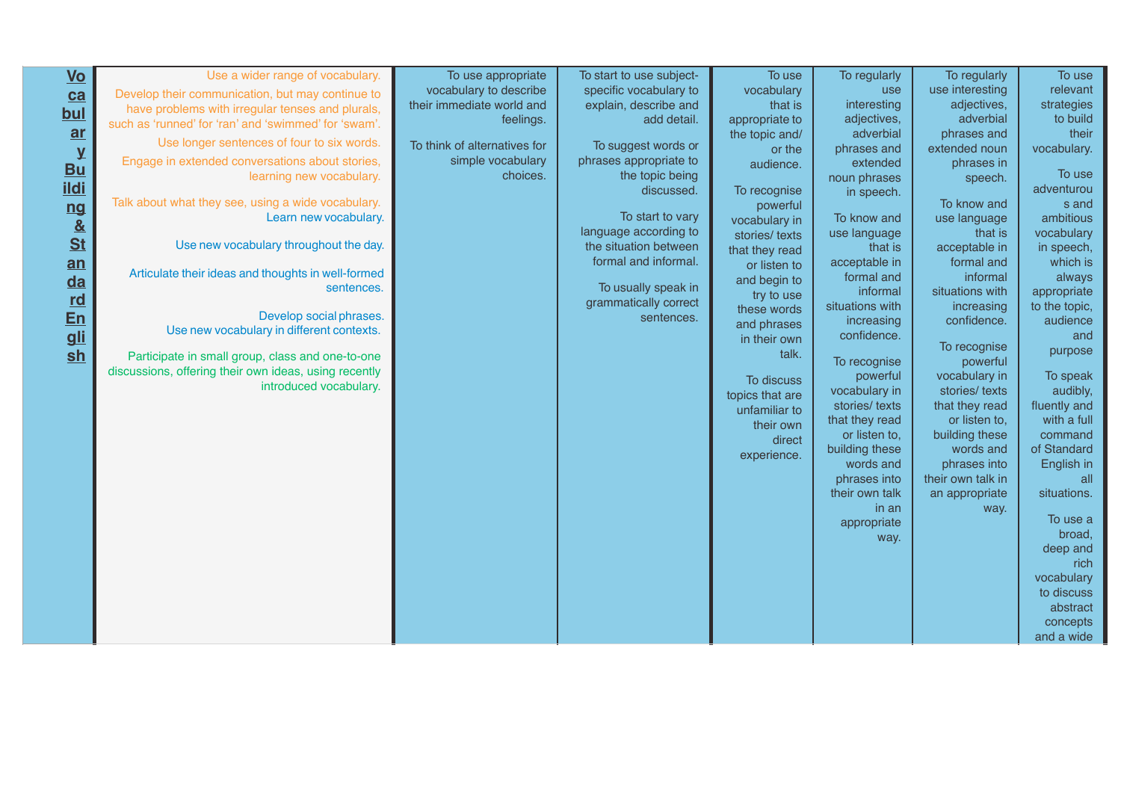| <b>Vo</b><br>ca<br><u>bul</u><br>$ar$<br>$\mathbf y$<br><b>Bu</b><br><u>ildi</u><br>nq<br>$\underline{\underline{\mathbf{g}}}%$<br>S <sub>t</sub><br>$an$<br>$da$<br><u>rd</u><br>En<br><u>gli</u><br>sh | Use a wider range of vocabulary.<br>Develop their communication, but may continue to<br>have problems with irregular tenses and plurals,<br>such as 'runned' for 'ran' and 'swimmed' for 'swam'.<br>Use longer sentences of four to six words.<br>Engage in extended conversations about stories,<br>learning new vocabulary.<br>Talk about what they see, using a wide vocabulary.<br>Learn new vocabulary.<br>Use new vocabulary throughout the day.<br>Articulate their ideas and thoughts in well-formed<br>sentences.<br>Develop social phrases.<br>Use new vocabulary in different contexts.<br>Participate in small group, class and one-to-one<br>discussions, offering their own ideas, using recently<br>introduced vocabulary. | To use appropriate<br>vocabulary to describe<br>their immediate world and<br>feelings.<br>To think of alternatives for<br>simple vocabulary<br>choices. | To start to use subject-<br>specific vocabulary to<br>explain, describe and<br>add detail.<br>To suggest words or<br>phrases appropriate to<br>the topic being<br>discussed.<br>To start to vary<br>language according to<br>the situation between<br>formal and informal.<br>To usually speak in<br>grammatically correct<br>sentences. | To use<br>vocabulary<br>that is<br>appropriate to<br>the topic and/<br>or the<br>audience.<br>To recognise<br>powerful<br>vocabulary in<br>stories/texts<br>that they read<br>or listen to<br>and begin to<br>try to use<br>these words<br>and phrases<br>in their own<br>talk.<br>To discuss<br>topics that are<br>unfamiliar to<br>their own<br>direct<br>experience. | To regularly<br>use<br>interesting<br>adjectives,<br>adverbial<br>phrases and<br>extended<br>noun phrases<br>in speech.<br>To know and<br>use language<br>that is<br>acceptable in<br>formal and<br>informal<br>situations with<br>increasing<br>confidence.<br>To recognise<br>powerful<br>vocabulary in<br>stories/texts<br>that they read<br>or listen to.<br>building these<br>words and<br>phrases into<br>their own talk<br>in an<br>appropriate<br>way. | To regularly<br>use interesting<br>adjectives,<br>adverbial<br>phrases and<br>extended noun<br>phrases in<br>speech.<br>To know and<br>use language<br>that is<br>acceptable in<br>formal and<br>informal<br>situations with<br>increasing<br>confidence.<br>To recognise<br>powerful<br>vocabulary in<br>stories/texts<br>that they read<br>or listen to,<br>building these<br>words and<br>phrases into<br>their own talk in<br>an appropriate<br>way. | To use<br>relevant<br>strategies<br>to build<br>their<br>vocabulary.<br>To use<br>adventurou<br>s and<br>ambitious<br>vocabulary<br>in speech,<br>which is<br>always<br>appropriate<br>to the topic,<br>audience<br>and<br>purpose<br>To speak<br>audibly,<br>fluently and<br>with a full<br>command<br>of Standard<br>English in<br>all<br>situations.<br>To use a<br>broad, |
|----------------------------------------------------------------------------------------------------------------------------------------------------------------------------------------------------------|-------------------------------------------------------------------------------------------------------------------------------------------------------------------------------------------------------------------------------------------------------------------------------------------------------------------------------------------------------------------------------------------------------------------------------------------------------------------------------------------------------------------------------------------------------------------------------------------------------------------------------------------------------------------------------------------------------------------------------------------|---------------------------------------------------------------------------------------------------------------------------------------------------------|------------------------------------------------------------------------------------------------------------------------------------------------------------------------------------------------------------------------------------------------------------------------------------------------------------------------------------------|-------------------------------------------------------------------------------------------------------------------------------------------------------------------------------------------------------------------------------------------------------------------------------------------------------------------------------------------------------------------------|----------------------------------------------------------------------------------------------------------------------------------------------------------------------------------------------------------------------------------------------------------------------------------------------------------------------------------------------------------------------------------------------------------------------------------------------------------------|----------------------------------------------------------------------------------------------------------------------------------------------------------------------------------------------------------------------------------------------------------------------------------------------------------------------------------------------------------------------------------------------------------------------------------------------------------|-------------------------------------------------------------------------------------------------------------------------------------------------------------------------------------------------------------------------------------------------------------------------------------------------------------------------------------------------------------------------------|
|                                                                                                                                                                                                          |                                                                                                                                                                                                                                                                                                                                                                                                                                                                                                                                                                                                                                                                                                                                           |                                                                                                                                                         |                                                                                                                                                                                                                                                                                                                                          |                                                                                                                                                                                                                                                                                                                                                                         |                                                                                                                                                                                                                                                                                                                                                                                                                                                                |                                                                                                                                                                                                                                                                                                                                                                                                                                                          | deep and<br>rich<br>vocabulary<br>to discuss<br>abstract<br>concepts<br>and a wide                                                                                                                                                                                                                                                                                            |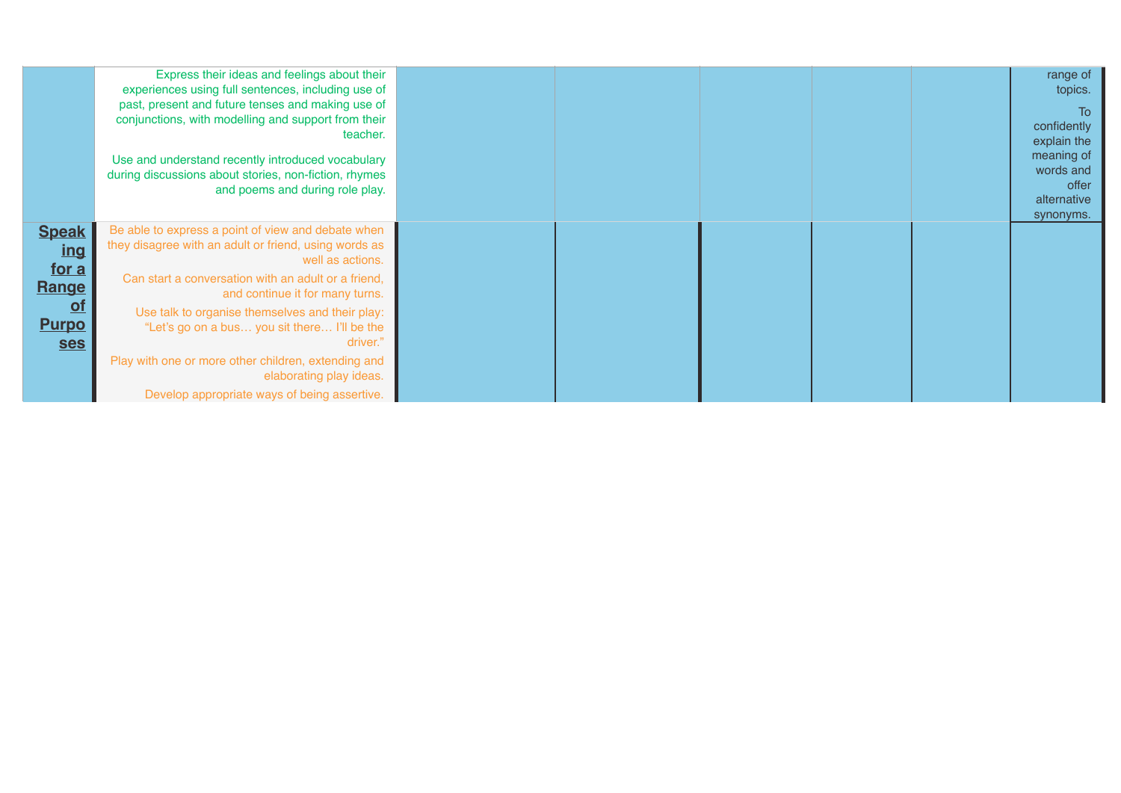|                                         | Express their ideas and feelings about their<br>experiences using full sentences, including use of<br>past, present and future tenses and making use of<br>conjunctions, with modelling and support from their<br>teacher.<br>Use and understand recently introduced vocabulary<br>during discussions about stories, non-fiction, rhymes<br>and poems and during role play. |  |  | range of<br>topics.<br>To<br>confidently<br>explain the<br>meaning of<br>words and<br>offer<br>alternative<br>synonyms. |
|-----------------------------------------|-----------------------------------------------------------------------------------------------------------------------------------------------------------------------------------------------------------------------------------------------------------------------------------------------------------------------------------------------------------------------------|--|--|-------------------------------------------------------------------------------------------------------------------------|
| <b>Speak</b><br>ing                     | Be able to express a point of view and debate when<br>they disagree with an adult or friend, using words as<br>well as actions.                                                                                                                                                                                                                                             |  |  |                                                                                                                         |
| for a<br>Range                          | Can start a conversation with an adult or a friend,<br>and continue it for many turns.                                                                                                                                                                                                                                                                                      |  |  |                                                                                                                         |
| <u>of</u><br><b>Purpo</b><br><b>ses</b> | Use talk to organise themselves and their play:<br>"Let's go on a bus you sit there I'll be the<br>driver."                                                                                                                                                                                                                                                                 |  |  |                                                                                                                         |
|                                         | Play with one or more other children, extending and<br>elaborating play ideas.                                                                                                                                                                                                                                                                                              |  |  |                                                                                                                         |
|                                         | Develop appropriate ways of being assertive.                                                                                                                                                                                                                                                                                                                                |  |  |                                                                                                                         |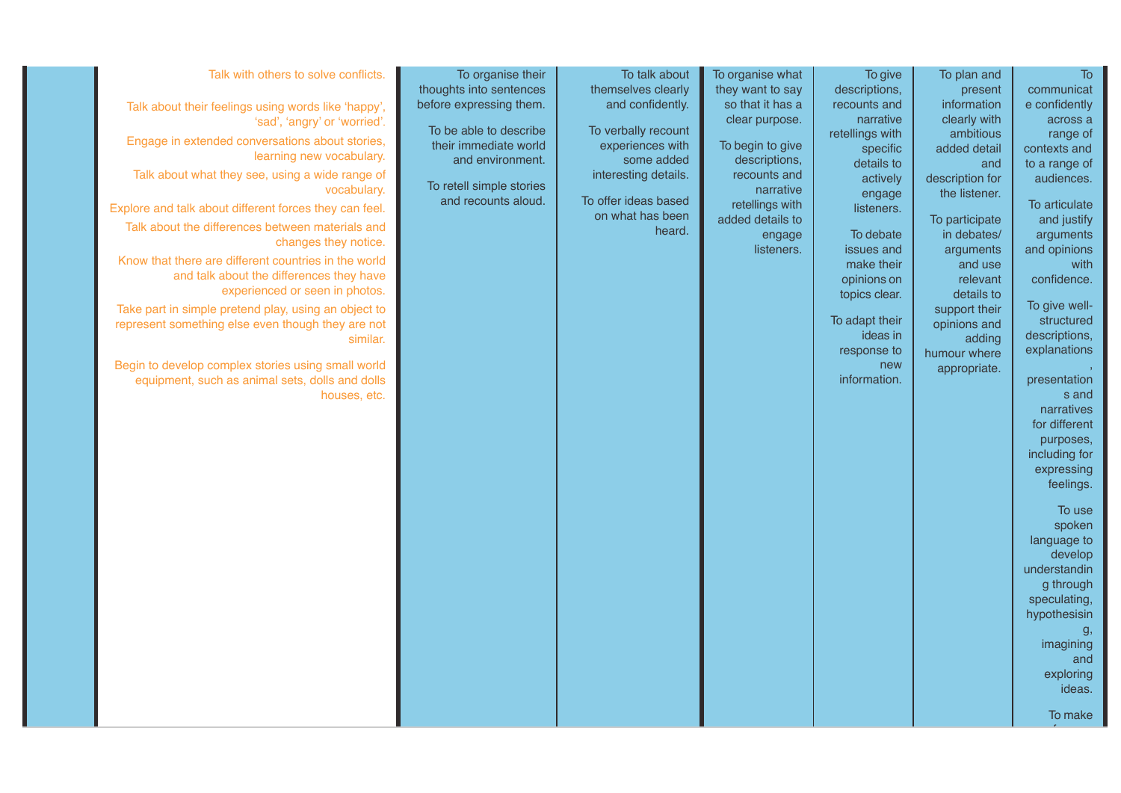| Talk with others to solve conflicts.<br>Talk about their feelings using words like 'happy',<br>'sad', 'angry' or 'worried'<br>Engage in extended conversations about stories,<br>learning new vocabulary.<br>Talk about what they see, using a wide range of<br>vocabulary.<br>Explore and talk about different forces they can feel<br>Talk about the differences between materials and<br>changes they notice.<br>Know that there are different countries in the world<br>and talk about the differences they have<br>experienced or seen in photos.<br>Take part in simple pretend play, using an object to<br>represent something else even though they are not<br>similar.<br>Begin to develop complex stories using small world<br>equipment, such as animal sets, dolls and dolls<br>houses, etc. | To organise their<br>thoughts into sentences<br>before expressing them.<br>To be able to describe<br>their immediate world<br>and environment.<br>To retell simple stories<br>and recounts aloud. | To talk about<br>themselves clearly<br>and confidently.<br>To verbally recount<br>experiences with<br>some added<br>interesting details.<br>To offer ideas based<br>on what has been<br>heard. | To organise what<br>they want to say<br>so that it has a<br>clear purpose.<br>To begin to give<br>descriptions,<br>recounts and<br>narrative<br>retellings with<br>added details to<br>engage<br>listeners. | To give<br>descriptions,<br>recounts and<br>narrative<br>retellings with<br>specific<br>details to<br>actively<br>engage<br>listeners.<br>To debate<br>issues and<br>make their<br>opinions on<br>topics clear.<br>To adapt their<br>ideas in<br>response to<br>new<br>information. | To plan and<br>present<br>information<br>clearly with<br>ambitious<br>added detail<br>and<br>description for<br>the listener.<br>To participate<br>in debates/<br>arguments<br>and use<br>relevant<br>details to<br>support their<br>opinions and<br>adding<br>humour where<br>appropriate. | To<br>communicat<br>e confidently<br>across a<br>range of<br>contexts and<br>to a range of<br>audiences.<br>To articulate<br>and justify<br>arguments<br>and opinions<br>with<br>confidence.<br>To give well-<br>structured<br>descriptions,<br>explanations<br>presentation<br>s and<br>narratives<br>for different<br>purposes,<br>including for<br>expressing<br>feelings.<br>To use<br>spoken<br>language to<br>develop<br>understandin<br>g through<br>speculating,<br>hypothesisin<br>g,<br>imagining<br>and<br>exploring<br>ideas.<br>To make |
|----------------------------------------------------------------------------------------------------------------------------------------------------------------------------------------------------------------------------------------------------------------------------------------------------------------------------------------------------------------------------------------------------------------------------------------------------------------------------------------------------------------------------------------------------------------------------------------------------------------------------------------------------------------------------------------------------------------------------------------------------------------------------------------------------------|---------------------------------------------------------------------------------------------------------------------------------------------------------------------------------------------------|------------------------------------------------------------------------------------------------------------------------------------------------------------------------------------------------|-------------------------------------------------------------------------------------------------------------------------------------------------------------------------------------------------------------|-------------------------------------------------------------------------------------------------------------------------------------------------------------------------------------------------------------------------------------------------------------------------------------|---------------------------------------------------------------------------------------------------------------------------------------------------------------------------------------------------------------------------------------------------------------------------------------------|------------------------------------------------------------------------------------------------------------------------------------------------------------------------------------------------------------------------------------------------------------------------------------------------------------------------------------------------------------------------------------------------------------------------------------------------------------------------------------------------------------------------------------------------------|
|----------------------------------------------------------------------------------------------------------------------------------------------------------------------------------------------------------------------------------------------------------------------------------------------------------------------------------------------------------------------------------------------------------------------------------------------------------------------------------------------------------------------------------------------------------------------------------------------------------------------------------------------------------------------------------------------------------------------------------------------------------------------------------------------------------|---------------------------------------------------------------------------------------------------------------------------------------------------------------------------------------------------|------------------------------------------------------------------------------------------------------------------------------------------------------------------------------------------------|-------------------------------------------------------------------------------------------------------------------------------------------------------------------------------------------------------------|-------------------------------------------------------------------------------------------------------------------------------------------------------------------------------------------------------------------------------------------------------------------------------------|---------------------------------------------------------------------------------------------------------------------------------------------------------------------------------------------------------------------------------------------------------------------------------------------|------------------------------------------------------------------------------------------------------------------------------------------------------------------------------------------------------------------------------------------------------------------------------------------------------------------------------------------------------------------------------------------------------------------------------------------------------------------------------------------------------------------------------------------------------|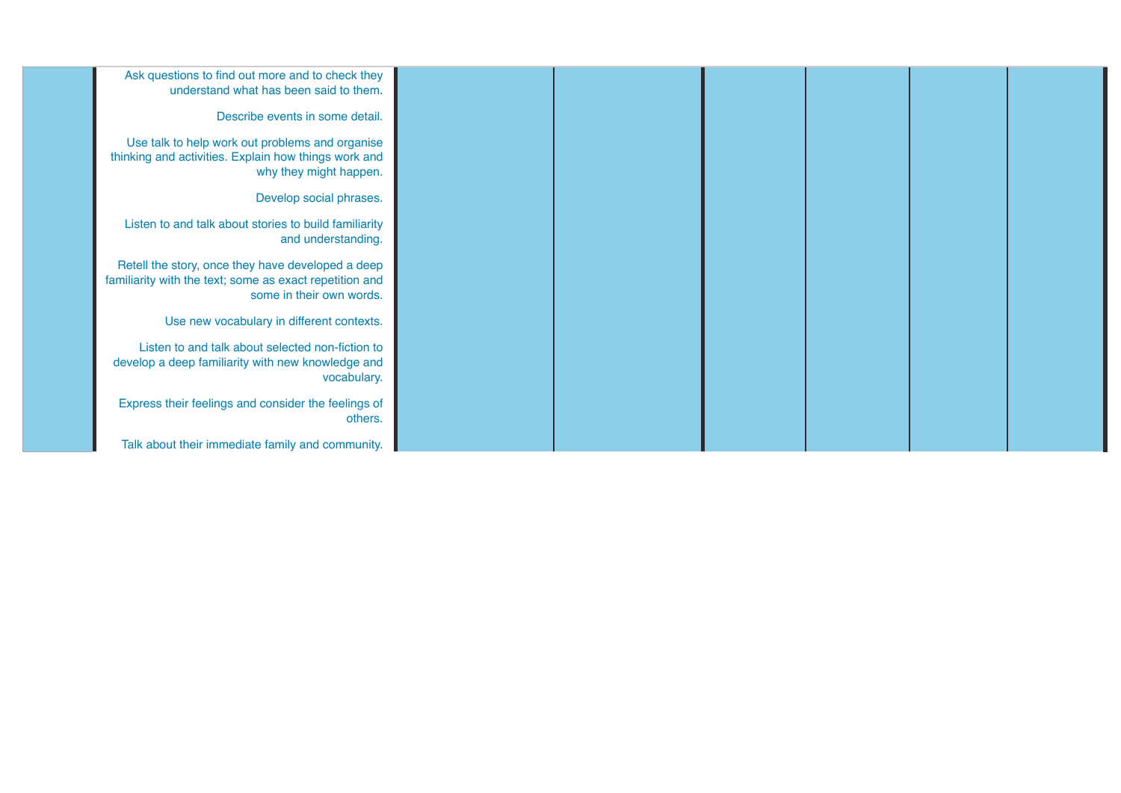| Ask questions to find out more and to check they<br>understand what has been said to them.                                               |  |  |  |
|------------------------------------------------------------------------------------------------------------------------------------------|--|--|--|
| Describe events in some detail.                                                                                                          |  |  |  |
| Use talk to help work out problems and organise<br>thinking and activities. Explain how things work and<br>why they might happen.        |  |  |  |
| Develop social phrases.                                                                                                                  |  |  |  |
| Listen to and talk about stories to build familiarity<br>and understanding.                                                              |  |  |  |
| Retell the story, once they have developed a deep<br>familiarity with the text; some as exact repetition and<br>some in their own words. |  |  |  |
| Use new vocabulary in different contexts.                                                                                                |  |  |  |
| Listen to and talk about selected non-fiction to<br>develop a deep familiarity with new knowledge and<br>vocabulary.                     |  |  |  |
| Express their feelings and consider the feelings of<br>others.                                                                           |  |  |  |
| Talk about their immediate family and community.                                                                                         |  |  |  |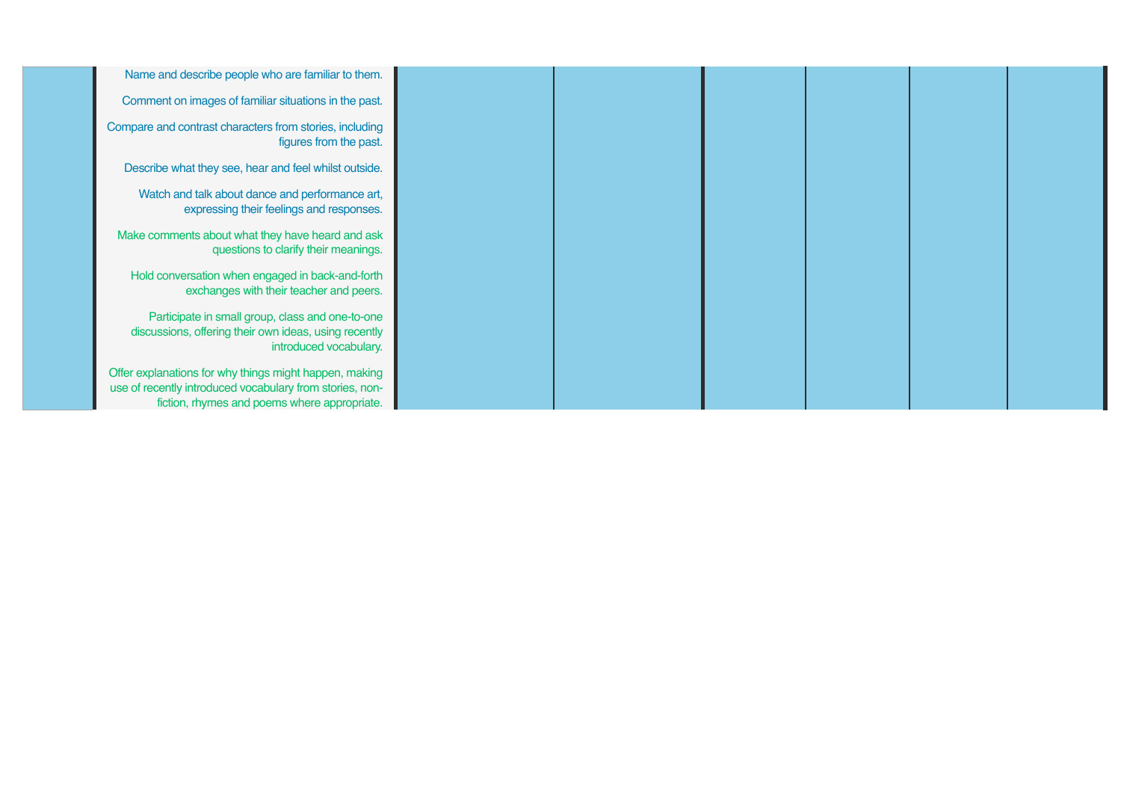| Name and describe people who are familiar to them.                                                                                                                 |  |  |  |
|--------------------------------------------------------------------------------------------------------------------------------------------------------------------|--|--|--|
| Comment on images of familiar situations in the past.                                                                                                              |  |  |  |
| Compare and contrast characters from stories, including<br>figures from the past.                                                                                  |  |  |  |
| Describe what they see, hear and feel whilst outside.                                                                                                              |  |  |  |
| Watch and talk about dance and performance art,<br>expressing their feelings and responses.                                                                        |  |  |  |
| Make comments about what they have heard and ask<br>questions to clarify their meanings.                                                                           |  |  |  |
| Hold conversation when engaged in back-and-forth<br>exchanges with their teacher and peers.                                                                        |  |  |  |
| Participate in small group, class and one-to-one<br>discussions, offering their own ideas, using recently<br>introduced vocabulary.                                |  |  |  |
| Offer explanations for why things might happen, making<br>use of recently introduced vocabulary from stories, non-<br>fiction, rhymes and poems where appropriate. |  |  |  |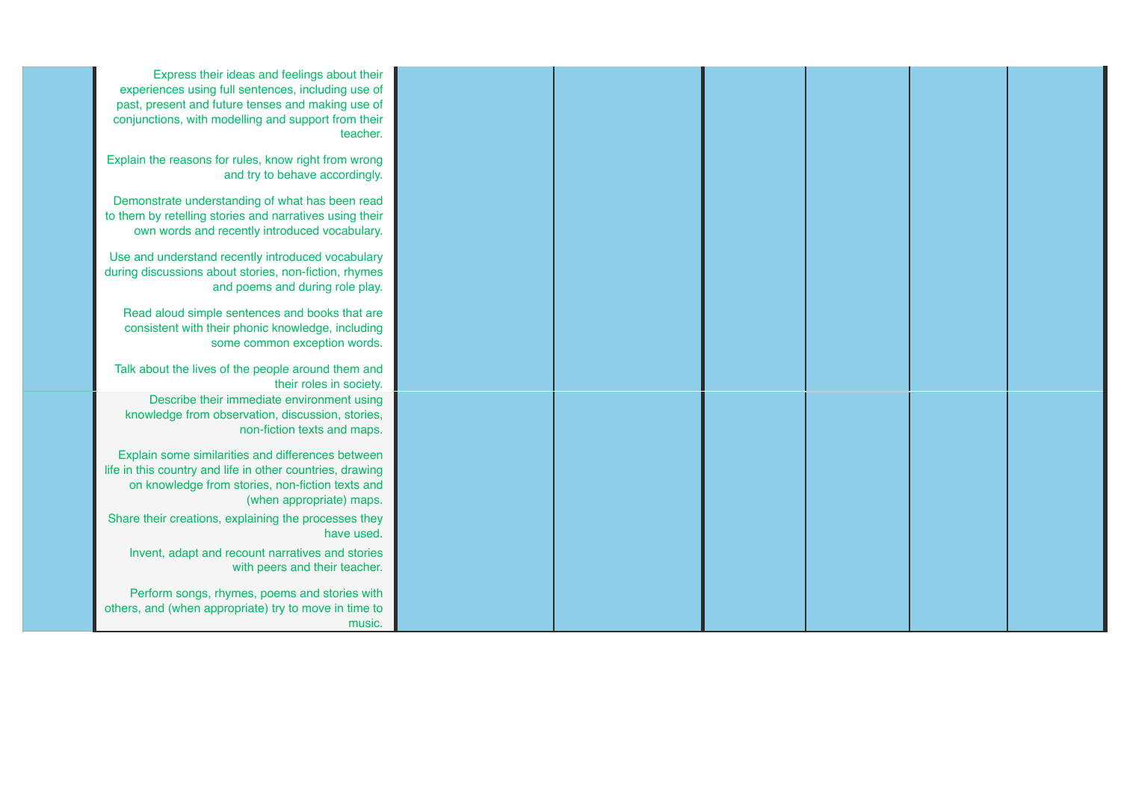| Express their ideas and feelings about their<br>experiences using full sentences, including use of<br>past, present and future tenses and making use of<br>conjunctions, with modelling and support from their<br>teacher. |  |  |  |
|----------------------------------------------------------------------------------------------------------------------------------------------------------------------------------------------------------------------------|--|--|--|
| Explain the reasons for rules, know right from wrong<br>and try to behave accordingly.                                                                                                                                     |  |  |  |
| Demonstrate understanding of what has been read<br>to them by retelling stories and narratives using their<br>own words and recently introduced vocabulary.                                                                |  |  |  |
| Use and understand recently introduced vocabulary<br>during discussions about stories, non-fiction, rhymes<br>and poems and during role play.                                                                              |  |  |  |
| Read aloud simple sentences and books that are<br>consistent with their phonic knowledge, including<br>some common exception words.                                                                                        |  |  |  |
| Talk about the lives of the people around them and<br>their roles in society.                                                                                                                                              |  |  |  |
| Describe their immediate environment using<br>knowledge from observation, discussion, stories,<br>non-fiction texts and maps.                                                                                              |  |  |  |
| Explain some similarities and differences between<br>life in this country and life in other countries, drawing<br>on knowledge from stories, non-fiction texts and<br>(when appropriate) maps.                             |  |  |  |
| Share their creations, explaining the processes they<br>have used.                                                                                                                                                         |  |  |  |
| Invent, adapt and recount narratives and stories<br>with peers and their teacher.                                                                                                                                          |  |  |  |
| Perform songs, rhymes, poems and stories with<br>others, and (when appropriate) try to move in time to<br>music.                                                                                                           |  |  |  |